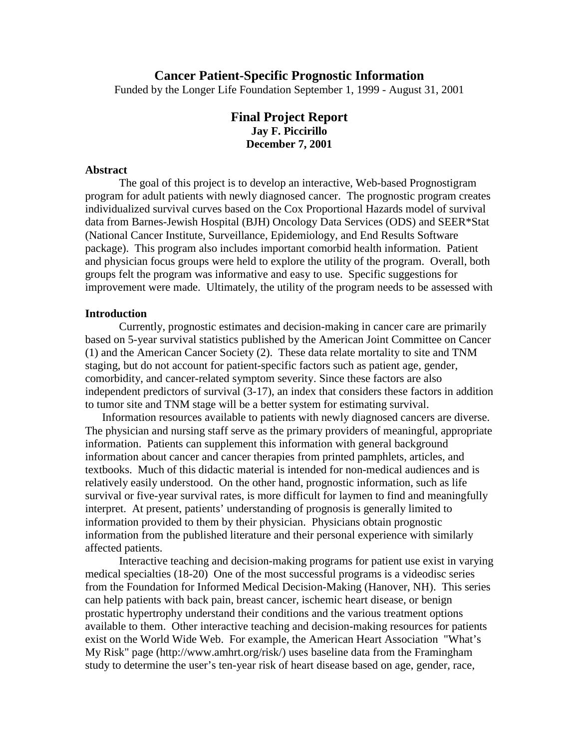## **Cancer Patient-Specific Prognostic Information**

Funded by the Longer Life Foundation September 1, 1999 - August 31, 2001

# **Final Project Report Jay F. Piccirillo December 7, 2001**

### **Abstract**

The goal of this project is to develop an interactive, Web-based Prognostigram program for adult patients with newly diagnosed cancer. The prognostic program creates individualized survival curves based on the Cox Proportional Hazards model of survival data from Barnes-Jewish Hospital (BJH) Oncology Data Services (ODS) and SEER\*Stat (National Cancer Institute, Surveillance, Epidemiology, and End Results Software package). This program also includes important comorbid health information. Patient and physician focus groups were held to explore the utility of the program. Overall, both groups felt the program was informative and easy to use. Specific suggestions for improvement were made. Ultimately, the utility of the program needs to be assessed with

### **Introduction**

Currently, prognostic estimates and decision-making in cancer care are primarily based on 5-year survival statistics published by the American Joint Committee on Cancer (1) and the American Cancer Society (2). These data relate mortality to site and TNM staging, but do not account for patient-specific factors such as patient age, gender, comorbidity, and cancer-related symptom severity. Since these factors are also independent predictors of survival (3-17), an index that considers these factors in addition to tumor site and TNM stage will be a better system for estimating survival.

Information resources available to patients with newly diagnosed cancers are diverse. The physician and nursing staff serve as the primary providers of meaningful, appropriate information. Patients can supplement this information with general background information about cancer and cancer therapies from printed pamphlets, articles, and textbooks. Much of this didactic material is intended for non-medical audiences and is relatively easily understood. On the other hand, prognostic information, such as life survival or five-year survival rates, is more difficult for laymen to find and meaningfully interpret. At present, patients' understanding of prognosis is generally limited to information provided to them by their physician. Physicians obtain prognostic information from the published literature and their personal experience with similarly affected patients.

Interactive teaching and decision-making programs for patient use exist in varying medical specialties (18-20) One of the most successful programs is a videodisc series from the Foundation for Informed Medical Decision-Making (Hanover, NH). This series can help patients with back pain, breast cancer, ischemic heart disease, or benign prostatic hypertrophy understand their conditions and the various treatment options available to them. Other interactive teaching and decision-making resources for patients exist on the World Wide Web. For example, the American Heart Association "What's My Risk" page (http://www.amhrt.org/risk/) uses baseline data from the Framingham study to determine the user's ten-year risk of heart disease based on age, gender, race,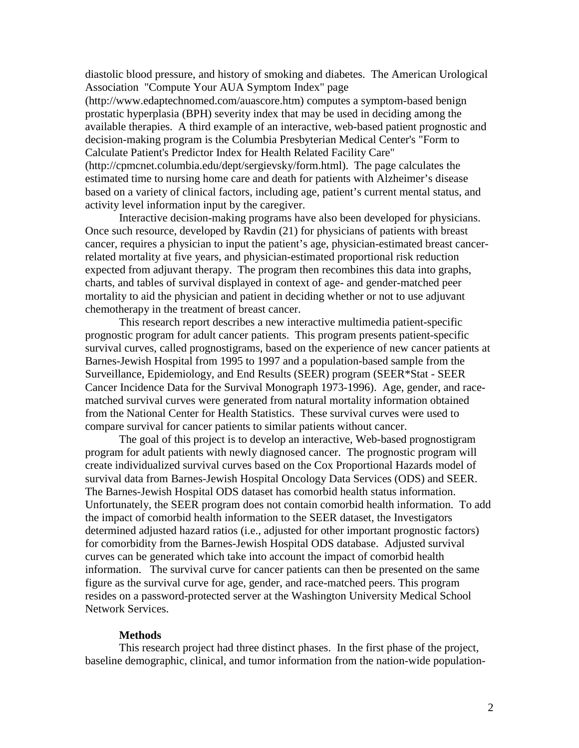diastolic blood pressure, and history of smoking and diabetes. The American Urological Association "Compute Your AUA Symptom Index" page

(http://www.edaptechnomed.com/auascore.htm) computes a symptom-based benign prostatic hyperplasia (BPH) severity index that may be used in deciding among the available therapies. A third example of an interactive, web-based patient prognostic and decision-making program is the Columbia Presbyterian Medical Center's "Form to Calculate Patient's Predictor Index for Health Related Facility Care" (http://cpmcnet.columbia.edu/dept/sergievsky/form.html). The page calculates the estimated time to nursing home care and death for patients with Alzheimer's disease based on a variety of clinical factors, including age, patient's current mental status, and activity level information input by the caregiver.

Interactive decision-making programs have also been developed for physicians. Once such resource, developed by Ravdin (21) for physicians of patients with breast cancer, requires a physician to input the patient's age, physician-estimated breast cancerrelated mortality at five years, and physician-estimated proportional risk reduction expected from adjuvant therapy. The program then recombines this data into graphs, charts, and tables of survival displayed in context of age- and gender-matched peer mortality to aid the physician and patient in deciding whether or not to use adjuvant chemotherapy in the treatment of breast cancer.

This research report describes a new interactive multimedia patient-specific prognostic program for adult cancer patients. This program presents patient-specific survival curves, called prognostigrams, based on the experience of new cancer patients at Barnes-Jewish Hospital from 1995 to 1997 and a population-based sample from the Surveillance, Epidemiology, and End Results (SEER) program (SEER\*Stat - SEER Cancer Incidence Data for the Survival Monograph 1973-1996). Age, gender, and racematched survival curves were generated from natural mortality information obtained from the National Center for Health Statistics. These survival curves were used to compare survival for cancer patients to similar patients without cancer.

The goal of this project is to develop an interactive, Web-based prognostigram program for adult patients with newly diagnosed cancer. The prognostic program will create individualized survival curves based on the Cox Proportional Hazards model of survival data from Barnes-Jewish Hospital Oncology Data Services (ODS) and SEER. The Barnes-Jewish Hospital ODS dataset has comorbid health status information. Unfortunately, the SEER program does not contain comorbid health information. To add the impact of comorbid health information to the SEER dataset, the Investigators determined adjusted hazard ratios (i.e., adjusted for other important prognostic factors) for comorbidity from the Barnes-Jewish Hospital ODS database. Adjusted survival curves can be generated which take into account the impact of comorbid health information. The survival curve for cancer patients can then be presented on the same figure as the survival curve for age, gender, and race-matched peers. This program resides on a password-protected server at the Washington University Medical School Network Services.

#### **Methods**

This research project had three distinct phases. In the first phase of the project, baseline demographic, clinical, and tumor information from the nation-wide population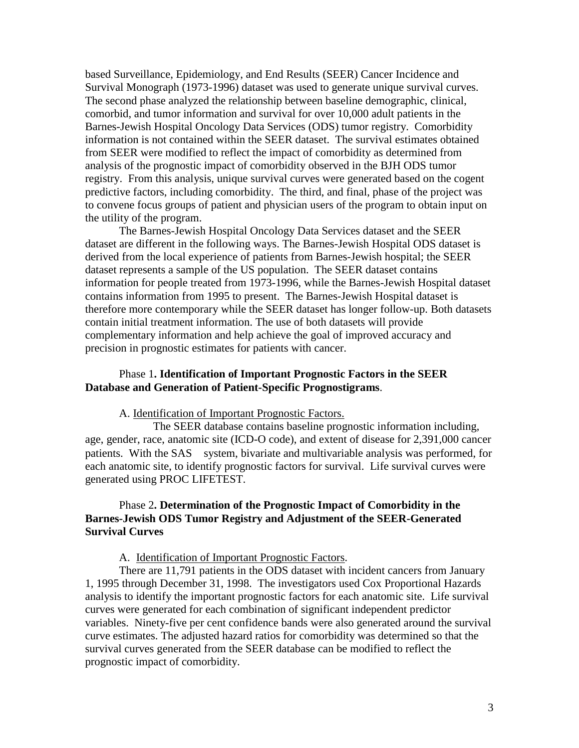based Surveillance, Epidemiology, and End Results (SEER) Cancer Incidence and Survival Monograph (1973-1996) dataset was used to generate unique survival curves. The second phase analyzed the relationship between baseline demographic, clinical, comorbid, and tumor information and survival for over 10,000 adult patients in the Barnes-Jewish Hospital Oncology Data Services (ODS) tumor registry. Comorbidity information is not contained within the SEER dataset. The survival estimates obtained from SEER were modified to reflect the impact of comorbidity as determined from analysis of the prognostic impact of comorbidity observed in the BJH ODS tumor registry. From this analysis, unique survival curves were generated based on the cogent predictive factors, including comorbidity. The third, and final, phase of the project was to convene focus groups of patient and physician users of the program to obtain input on the utility of the program.

The Barnes-Jewish Hospital Oncology Data Services dataset and the SEER dataset are different in the following ways. The Barnes-Jewish Hospital ODS dataset is derived from the local experience of patients from Barnes-Jewish hospital; the SEER dataset represents a sample of the US population. The SEER dataset contains information for people treated from 1973-1996, while the Barnes-Jewish Hospital dataset contains information from 1995 to present. The Barnes-Jewish Hospital dataset is therefore more contemporary while the SEER dataset has longer follow-up. Both datasets contain initial treatment information. The use of both datasets will provide complementary information and help achieve the goal of improved accuracy and precision in prognostic estimates for patients with cancer.

## Phase 1**. Identification of Important Prognostic Factors in the SEER Database and Generation of Patient-Specific Prognostigrams**.

#### A. Identification of Important Prognostic Factors.

 The SEER database contains baseline prognostic information including, age, gender, race, anatomic site (ICD-O code), and extent of disease for 2,391,000 cancer patients. With the SAS<sup>®</sup> system, bivariate and multivariable analysis was performed, for each anatomic site, to identify prognostic factors for survival. Life survival curves were generated using PROC LIFETEST.

# Phase 2**. Determination of the Prognostic Impact of Comorbidity in the Barnes-Jewish ODS Tumor Registry and Adjustment of the SEER-Generated Survival Curves**

## A. Identification of Important Prognostic Factors.

There are 11,791 patients in the ODS dataset with incident cancers from January 1, 1995 through December 31, 1998. The investigators used Cox Proportional Hazards analysis to identify the important prognostic factors for each anatomic site. Life survival curves were generated for each combination of significant independent predictor variables. Ninety-five per cent confidence bands were also generated around the survival curve estimates. The adjusted hazard ratios for comorbidity was determined so that the survival curves generated from the SEER database can be modified to reflect the prognostic impact of comorbidity.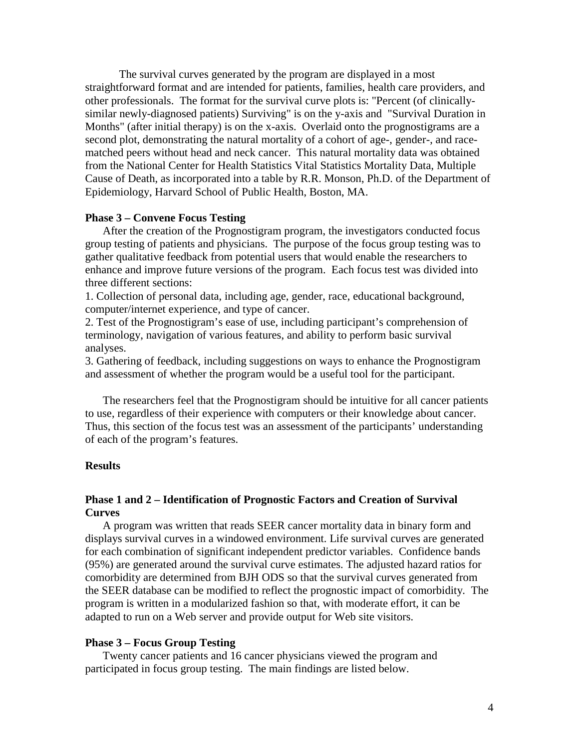The survival curves generated by the program are displayed in a most straightforward format and are intended for patients, families, health care providers, and other professionals. The format for the survival curve plots is: "Percent (of clinicallysimilar newly-diagnosed patients) Surviving" is on the y-axis and "Survival Duration in Months" (after initial therapy) is on the x-axis. Overlaid onto the prognostigrams are a second plot, demonstrating the natural mortality of a cohort of age-, gender-, and racematched peers without head and neck cancer. This natural mortality data was obtained from the National Center for Health Statistics Vital Statistics Mortality Data, Multiple Cause of Death, as incorporated into a table by R.R. Monson, Ph.D. of the Department of Epidemiology, Harvard School of Public Health, Boston, MA.

#### **Phase 3 – Convene Focus Testing**

 After the creation of the Prognostigram program, the investigators conducted focus group testing of patients and physicians. The purpose of the focus group testing was to gather qualitative feedback from potential users that would enable the researchers to enhance and improve future versions of the program. Each focus test was divided into three different sections:

1. Collection of personal data, including age, gender, race, educational background, computer/internet experience, and type of cancer.

2. Test of the Prognostigram's ease of use, including participant's comprehension of terminology, navigation of various features, and ability to perform basic survival analyses.

3. Gathering of feedback, including suggestions on ways to enhance the Prognostigram and assessment of whether the program would be a useful tool for the participant.

 The researchers feel that the Prognostigram should be intuitive for all cancer patients to use, regardless of their experience with computers or their knowledge about cancer. Thus, this section of the focus test was an assessment of the participants' understanding of each of the program's features.

## **Results**

## **Phase 1 and 2 – Identification of Prognostic Factors and Creation of Survival Curves**

 A program was written that reads SEER cancer mortality data in binary form and displays survival curves in a windowed environment. Life survival curves are generated for each combination of significant independent predictor variables. Confidence bands (95%) are generated around the survival curve estimates. The adjusted hazard ratios for comorbidity are determined from BJH ODS so that the survival curves generated from the SEER database can be modified to reflect the prognostic impact of comorbidity. The program is written in a modularized fashion so that, with moderate effort, it can be adapted to run on a Web server and provide output for Web site visitors.

#### **Phase 3 – Focus Group Testing**

 Twenty cancer patients and 16 cancer physicians viewed the program and participated in focus group testing. The main findings are listed below.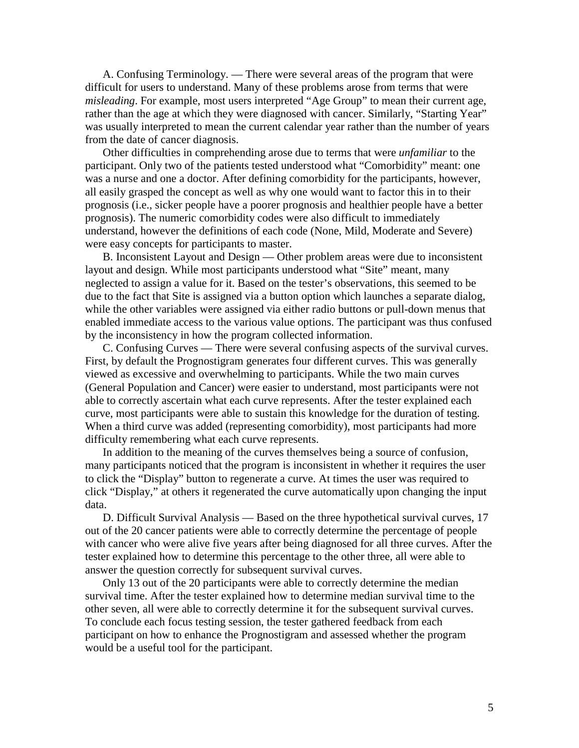A. Confusing Terminology. — There were several areas of the program that were difficult for users to understand. Many of these problems arose from terms that were *misleading*. For example, most users interpreted "Age Group" to mean their current age, rather than the age at which they were diagnosed with cancer. Similarly, "Starting Year" was usually interpreted to mean the current calendar year rather than the number of years from the date of cancer diagnosis.

 Other difficulties in comprehending arose due to terms that were *unfamiliar* to the participant. Only two of the patients tested understood what "Comorbidity" meant: one was a nurse and one a doctor. After defining comorbidity for the participants, however, all easily grasped the concept as well as why one would want to factor this in to their prognosis (i.e., sicker people have a poorer prognosis and healthier people have a better prognosis). The numeric comorbidity codes were also difficult to immediately understand, however the definitions of each code (None, Mild, Moderate and Severe) were easy concepts for participants to master.<br>B. Inconsistent Layout and Design — Other problem areas were due to inconsistent

layout and design. While most participants understood what "Site" meant, many neglected to assign a value for it. Based on the tester's observations, this seemed to be due to the fact that Site is assigned via a button option which launches a separate dialog, while the other variables were assigned via either radio buttons or pull-down menus that enabled immediate access to the various value options. The participant was thus confused by the inconsistency in how the program collected information. C. Confusing Curves — There were several confusing aspects of the survival curves.

First, by default the Prognostigram generates four different curves. This was generally viewed as excessive and overwhelming to participants. While the two main curves (General Population and Cancer) were easier to understand, most participants were not able to correctly ascertain what each curve represents. After the tester explained each curve, most participants were able to sustain this knowledge for the duration of testing. When a third curve was added (representing comorbidity), most participants had more difficulty remembering what each curve represents.

 In addition to the meaning of the curves themselves being a source of confusion, many participants noticed that the program is inconsistent in whether it requires the user to click the "Display" button to regenerate a curve. At times the user was required to click "Display," at others it regenerated the curve automatically upon changing the input data.

 D. Difficult Survival Analysis — Based on the three hypothetical survival curves, 17 out of the 20 cancer patients were able to correctly determine the percentage of people with cancer who were alive five years after being diagnosed for all three curves. After the tester explained how to determine this percentage to the other three, all were able to answer the question correctly for subsequent survival curves.

 Only 13 out of the 20 participants were able to correctly determine the median survival time. After the tester explained how to determine median survival time to the other seven, all were able to correctly determine it for the subsequent survival curves. To conclude each focus testing session, the tester gathered feedback from each participant on how to enhance the Prognostigram and assessed whether the program would be a useful tool for the participant.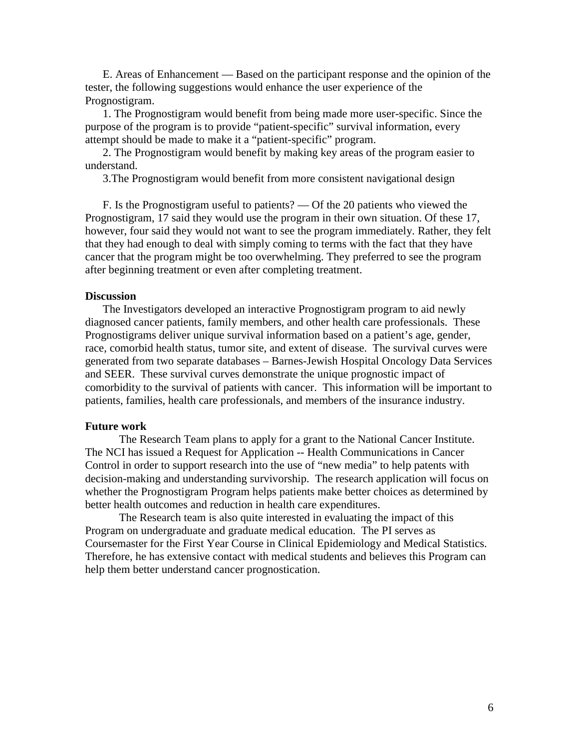E. Areas of Enhancement — Based on the participant response and the opinion of the tester, the following suggestions would enhance the user experience of the Prognostigram.

 1. The Prognostigram would benefit from being made more user-specific. Since the purpose of the program is to provide "patient-specific" survival information, every attempt should be made to make it a "patient-specific" program.

 2. The Prognostigram would benefit by making key areas of the program easier to understand.

3.The Prognostigram would benefit from more consistent navigational design

 F. Is the Prognostigram useful to patients? — Of the 20 patients who viewed the Prognostigram, 17 said they would use the program in their own situation. Of these 17, however, four said they would not want to see the program immediately. Rather, they felt that they had enough to deal with simply coming to terms with the fact that they have cancer that the program might be too overwhelming. They preferred to see the program after beginning treatment or even after completing treatment.

#### **Discussion**

 The Investigators developed an interactive Prognostigram program to aid newly diagnosed cancer patients, family members, and other health care professionals. These Prognostigrams deliver unique survival information based on a patient's age, gender, race, comorbid health status, tumor site, and extent of disease. The survival curves were generated from two separate databases – Barnes-Jewish Hospital Oncology Data Services and SEER. These survival curves demonstrate the unique prognostic impact of comorbidity to the survival of patients with cancer. This information will be important to patients, families, health care professionals, and members of the insurance industry.

#### **Future work**

The Research Team plans to apply for a grant to the National Cancer Institute. The NCI has issued a Request for Application -- Health Communications in Cancer Control in order to support research into the use of "new media" to help patents with decision-making and understanding survivorship. The research application will focus on whether the Prognostigram Program helps patients make better choices as determined by better health outcomes and reduction in health care expenditures.

The Research team is also quite interested in evaluating the impact of this Program on undergraduate and graduate medical education. The PI serves as Coursemaster for the First Year Course in Clinical Epidemiology and Medical Statistics. Therefore, he has extensive contact with medical students and believes this Program can help them better understand cancer prognostication.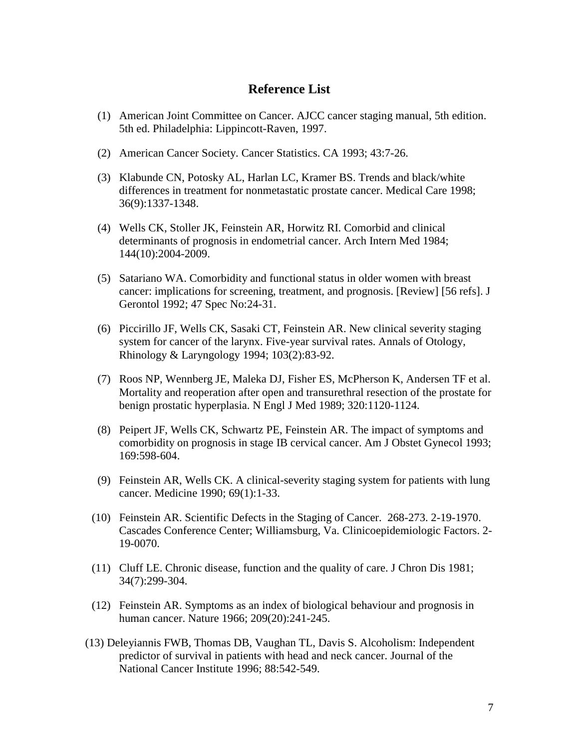# **Reference List**

- (1) American Joint Committee on Cancer. AJCC cancer staging manual, 5th edition. 5th ed. Philadelphia: Lippincott-Raven, 1997.
- (2) American Cancer Society. Cancer Statistics. CA 1993; 43:7-26.
- (3) Klabunde CN, Potosky AL, Harlan LC, Kramer BS. Trends and black/white differences in treatment for nonmetastatic prostate cancer. Medical Care 1998; 36(9):1337-1348.
- (4) Wells CK, Stoller JK, Feinstein AR, Horwitz RI. Comorbid and clinical determinants of prognosis in endometrial cancer. Arch Intern Med 1984; 144(10):2004-2009.
- (5) Satariano WA. Comorbidity and functional status in older women with breast cancer: implications for screening, treatment, and prognosis. [Review] [56 refs]. J Gerontol 1992; 47 Spec No:24-31.
- (6) Piccirillo JF, Wells CK, Sasaki CT, Feinstein AR. New clinical severity staging system for cancer of the larynx. Five-year survival rates. Annals of Otology, Rhinology & Laryngology 1994; 103(2):83-92.
- (7) Roos NP, Wennberg JE, Maleka DJ, Fisher ES, McPherson K, Andersen TF et al. Mortality and reoperation after open and transurethral resection of the prostate for benign prostatic hyperplasia. N Engl J Med 1989; 320:1120-1124.
- (8) Peipert JF, Wells CK, Schwartz PE, Feinstein AR. The impact of symptoms and comorbidity on prognosis in stage IB cervical cancer. Am J Obstet Gynecol 1993; 169:598-604.
- (9) Feinstein AR, Wells CK. A clinical-severity staging system for patients with lung cancer. Medicine 1990; 69(1):1-33.
- (10) Feinstein AR. Scientific Defects in the Staging of Cancer. 268-273. 2-19-1970. Cascades Conference Center; Williamsburg, Va. Clinicoepidemiologic Factors. 2- 19-0070.
- (11) Cluff LE. Chronic disease, function and the quality of care. J Chron Dis 1981; 34(7):299-304.
- (12) Feinstein AR. Symptoms as an index of biological behaviour and prognosis in human cancer. Nature 1966; 209(20):241-245.
- (13) Deleyiannis FWB, Thomas DB, Vaughan TL, Davis S. Alcoholism: Independent predictor of survival in patients with head and neck cancer. Journal of the National Cancer Institute 1996; 88:542-549.